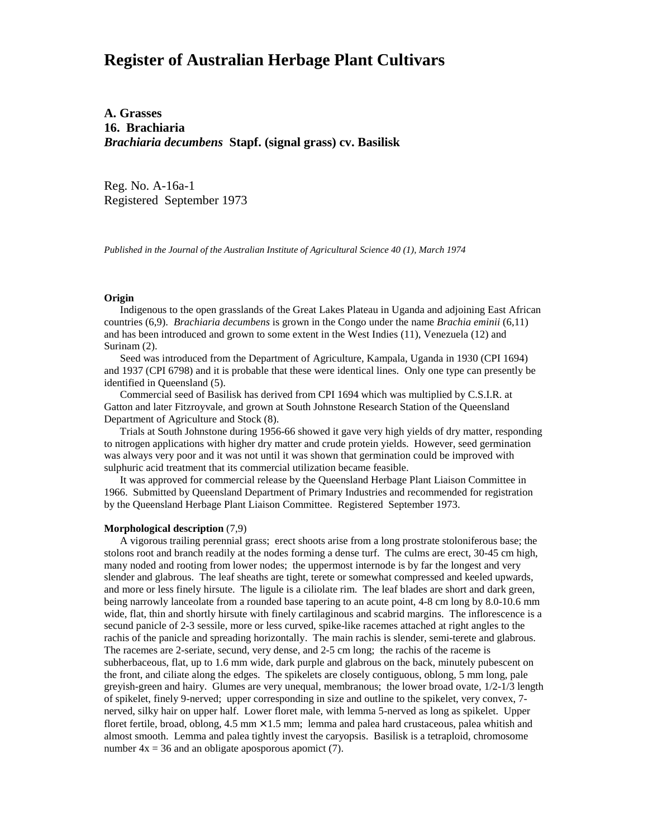# **Register of Australian Herbage Plant Cultivars**

**A. Grasses 16. Brachiaria** *Brachiaria decumbens* **Stapf. (signal grass) cv. Basilisk**

Reg. No. A-16a-1 Registered September 1973

*Published in the Journal of the Australian Institute of Agricultural Science 40 (1), March 1974*

### **Origin**

 Indigenous to the open grasslands of the Great Lakes Plateau in Uganda and adjoining East African countries (6,9). *Brachiaria decumbens* is grown in the Congo under the name *Brachia eminii* (6,11) and has been introduced and grown to some extent in the West Indies (11), Venezuela (12) and Surinam (2).

 Seed was introduced from the Department of Agriculture, Kampala, Uganda in 1930 (CPI 1694) and 1937 (CPI 6798) and it is probable that these were identical lines. Only one type can presently be identified in Queensland (5).

 Commercial seed of Basilisk has derived from CPI 1694 which was multiplied by C.S.I.R. at Gatton and later Fitzroyvale, and grown at South Johnstone Research Station of the Queensland Department of Agriculture and Stock (8).

 Trials at South Johnstone during 1956-66 showed it gave very high yields of dry matter, responding to nitrogen applications with higher dry matter and crude protein yields. However, seed germination was always very poor and it was not until it was shown that germination could be improved with sulphuric acid treatment that its commercial utilization became feasible.

 It was approved for commercial release by the Queensland Herbage Plant Liaison Committee in 1966. Submitted by Queensland Department of Primary Industries and recommended for registration by the Queensland Herbage Plant Liaison Committee. Registered September 1973.

### **Morphological description** (7,9)

 A vigorous trailing perennial grass; erect shoots arise from a long prostrate stoloniferous base; the stolons root and branch readily at the nodes forming a dense turf. The culms are erect, 30-45 cm high, many noded and rooting from lower nodes; the uppermost internode is by far the longest and very slender and glabrous. The leaf sheaths are tight, terete or somewhat compressed and keeled upwards, and more or less finely hirsute. The ligule is a ciliolate rim. The leaf blades are short and dark green, being narrowly lanceolate from a rounded base tapering to an acute point, 4-8 cm long by 8.0-10.6 mm wide, flat, thin and shortly hirsute with finely cartilaginous and scabrid margins. The inflorescence is a secund panicle of 2-3 sessile, more or less curved, spike-like racemes attached at right angles to the rachis of the panicle and spreading horizontally. The main rachis is slender, semi-terete and glabrous. The racemes are 2-seriate, secund, very dense, and 2-5 cm long; the rachis of the raceme is subherbaceous, flat, up to 1.6 mm wide, dark purple and glabrous on the back, minutely pubescent on the front, and ciliate along the edges. The spikelets are closely contiguous, oblong, 5 mm long, pale greyish-green and hairy. Glumes are very unequal, membranous; the lower broad ovate, 1/2-1/3 length of spikelet, finely 9-nerved; upper corresponding in size and outline to the spikelet, very convex, 7 nerved, silky hair on upper half. Lower floret male, with lemma 5-nerved as long as spikelet. Upper floret fertile, broad, oblong,  $4.5$  mm  $\times$  1.5 mm; lemma and palea hard crustaceous, palea whitish and almost smooth. Lemma and palea tightly invest the caryopsis. Basilisk is a tetraploid, chromosome number  $4x = 36$  and an obligate aposporous apomict (7).